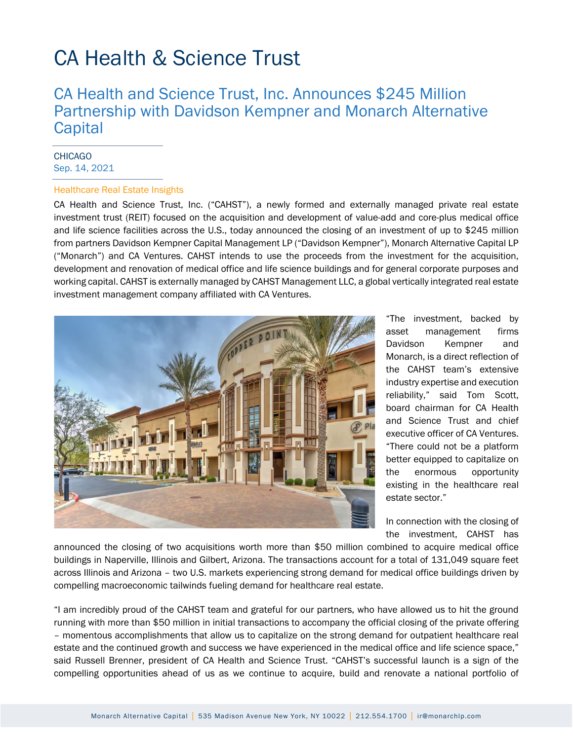## CA Health & Science Trust

### CA Health and Science Trust, Inc. Announces \$245 Million Partnership with Davidson Kempner and Monarch Alternative **Capital**

#### **CHICAGO** Sep. 14, 2021

#### Healthcare Real Estate Insights

CA Health and Science Trust, Inc. ("CAHST"), a newly formed and externally managed private real estate investment trust (REIT) focused on the acquisition and development of value-add and core-plus medical office and life science facilities across the U.S., today announced the closing of an investment of up to \$245 million from partners Davidson Kempner Capital Management LP ("Davidson Kempner"), Monarch Alternative Capital LP ("Monarch") and CA Ventures. CAHST intends to use the proceeds from the investment for the acquisition, development and renovation of medical office and life science buildings and for general corporate purposes and working capital. CAHST is externally managed by CAHST Management LLC, a global vertically integrated real estate investment management company affiliated with CA Ventures.



"The investment, backed by asset management firms Davidson Kempner and Monarch, is a direct reflection of the CAHST team's extensive industry expertise and execution reliability," said Tom Scott, board chairman for CA Health and Science Trust and chief executive officer of CA Ventures. "There could not be a platform better equipped to capitalize on the enormous opportunity existing in the healthcare real estate sector."

In connection with the closing of the investment, CAHST has

announced the closing of two acquisitions worth more than \$50 million combined to acquire medical office buildings in Naperville, Illinois and Gilbert, Arizona. The transactions account for a total of 131,049 square feet across Illinois and Arizona – two U.S. markets experiencing strong demand for medical office buildings driven by compelling macroeconomic tailwinds fueling demand for healthcare real estate.

"I am incredibly proud of the CAHST team and grateful for our partners, who have allowed us to hit the ground running with more than \$50 million in initial transactions to accompany the official closing of the private offering – momentous accomplishments that allow us to capitalize on the strong demand for outpatient healthcare real estate and the continued growth and success we have experienced in the medical office and life science space," said Russell Brenner, president of CA Health and Science Trust. "CAHST's successful launch is a sign of the compelling opportunities ahead of us as we continue to acquire, build and renovate a national portfolio of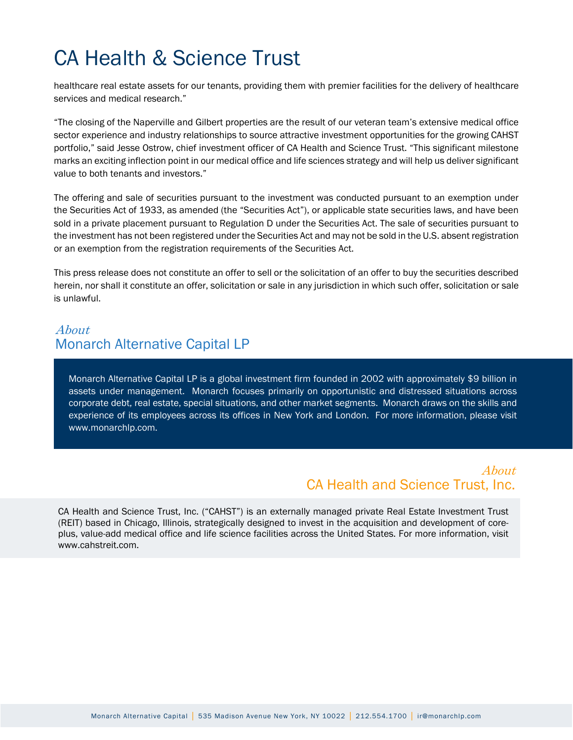# CA Health & Science Trust

healthcare real estate assets for our tenants, providing them with premier facilities for the delivery of healthcare services and medical research."

"The closing of the Naperville and Gilbert properties are the result of our veteran team's extensive medical office sector experience and industry relationships to source attractive investment opportunities for the growing CAHST portfolio," said Jesse Ostrow, chief investment officer of CA Health and Science Trust. "This significant milestone marks an exciting inflection point in our medical office and life sciences strategy and will help us deliver significant value to both tenants and investors."

The offering and sale of securities pursuant to the investment was conducted pursuant to an exemption under the Securities Act of 1933, as amended (the "Securities Act"), or applicable state securities laws, and have been sold in a private placement pursuant to Regulation D under the Securities Act. The sale of securities pursuant to the investment has not been registered under the Securities Act and may not be sold in the U.S. absent registration or an exemption from the registration requirements of the Securities Act.

This press release does not constitute an offer to sell or the solicitation of an offer to buy the securities described herein, nor shall it constitute an offer, solicitation or sale in any jurisdiction in which such offer, solicitation or sale is unlawful.

### About Monarch Alternative Capital LP

Monarch Alternative Capital LP is a global investment firm founded in 2002 with approximately \$9 billion in assets under management. Monarch focuses primarily on opportunistic and distressed situations across corporate debt, real estate, special situations, and other market segments. Monarch draws on the skills and experience of its employees across its offices in New York and London. For more information, please visit www.monarchlp.com.

#### About CA Health and Science Trust, Inc.

CA Health and Science Trust, Inc. ("CAHST") is an externally managed private Real Estate Investment Trust (REIT) based in Chicago, Illinois, strategically designed to invest in the acquisition and development of coreplus, value-add medical office and life science facilities across the United States. For more information, visit www.cahstreit.com.